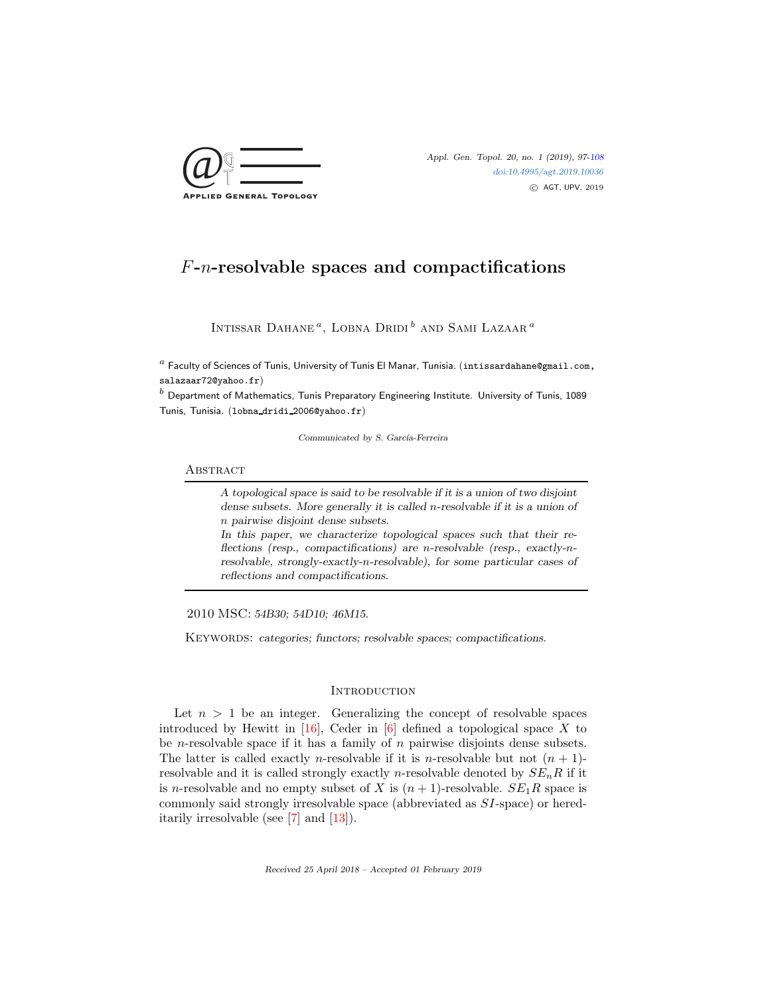

# F-n-resolvable spaces and compactifications

INTISSAR DAHANE<sup>a</sup>, LOBNA DRIDI<sup>b</sup> and Sami Lazaar<sup>a</sup>

 $^a$  Faculty of Sciences of Tunis, University of Tunis El Manar, Tunisia. (intissardahane@gmail.com, salazaar72@yahoo.fr)

 $<sup>b</sup>$  Department of Mathematics, Tunis Preparatory Engineering Institute. University of Tunis, 1089</sup> Tunis, Tunisia. (lobna dridi 2006@yahoo.fr)

Communicated by S. García-Ferreira

#### **ABSTRACT**

A topological space is said to be resolvable if it is a union of two disjoint dense subsets. More generally it is called n-resolvable if it is a union of n pairwise disjoint dense subsets. In this paper, we characterize topological spaces such that their reflections (resp., compactifications) are n-resolvable (resp., exactly-nresolvable, strongly-exactly-n-resolvable), for some particular cases of reflections and compactifications.

2010 MSC: 54B30; 54D10; 46M15.

KEYWORDS: categories; functors; resolvable spaces; compactifications.

# **INTRODUCTION**

Let  $n > 1$  be an integer. Generalizing the concept of resolvable spaces introduced by Hewitt in  $[16]$ , Ceder in  $[6]$  defined a topological space X to be *n*-resolvable space if it has a family of *n* pairwise disjoints dense subsets. The latter is called exactly *n*-resolvable if it is *n*-resolvable but not  $(n + 1)$ resolvable and it is called strongly exactly *n*-resolvable denoted by  $SE_nR$  if it is n-resolvable and no empty subset of X is  $(n + 1)$ -resolvable.  $SE<sub>1</sub>R$  space is commonly said strongly irresolvable space (abbreviated as SI-space) or hereditarily irresolvable (see [\[7\]](#page-11-2) and [\[13\]](#page-11-3)).

Received 25 April 2018 – Accepted 01 February 2019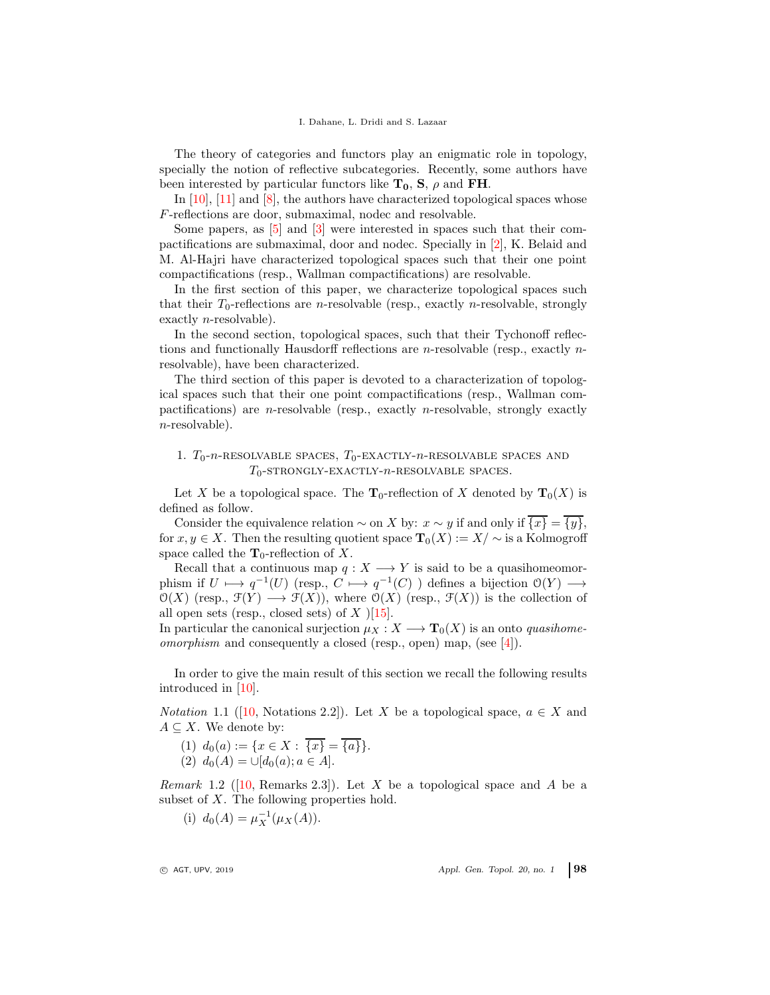The theory of categories and functors play an enigmatic role in topology, specially the notion of reflective subcategories. Recently, some authors have been interested by particular functors like  $T_0$ , S,  $\rho$  and FH.

In  $[10]$ ,  $[11]$  and  $[8]$ , the authors have characterized topological spaces whose F-reflections are door, submaximal, nodec and resolvable.

Some papers, as [\[5\]](#page-11-7) and [\[3\]](#page-11-8) were interested in spaces such that their compactifications are submaximal, door and nodec. Specially in [\[2\]](#page-10-1), K. Belaid and M. Al-Hajri have characterized topological spaces such that their one point compactifications (resp., Wallman compactifications) are resolvable.

In the first section of this paper, we characterize topological spaces such that their  $T_0$ -reflections are *n*-resolvable (resp., exactly *n*-resolvable, strongly exactly n-resolvable).

In the second section, topological spaces, such that their Tychonoff reflections and functionally Hausdorff reflections are n-resolvable (resp., exactly nresolvable), have been characterized.

The third section of this paper is devoted to a characterization of topological spaces such that their one point compactifications (resp., Wallman compactifications) are *n*-resolvable (resp., exactly *n*-resolvable, strongly exactly n-resolvable).

# 1.  $T_0$ - $n$ -RESOLVABLE SPACES,  $T_0$ -EXACTLY- $n$ -RESOLVABLE SPACES AND  $T_0$ -strongly-exactly- $n$ -resolvable spaces.

Let X be a topological space. The  $\mathbf{T}_0$ -reflection of X denoted by  $\mathbf{T}_0(X)$  is defined as follow.

Consider the equivalence relation  $\sim$  on X by:  $x \sim y$  if and only if  $\overline{\{x\}} = \overline{\{y\}}$ , for  $x, y \in X$ . Then the resulting quotient space  $\mathbf{T}_0(X) := X/\sim$  is a Kolmogroff space called the  $\mathbf{T}_0$ -reflection of X.

Recall that a continuous map  $q: X \longrightarrow Y$  is said to be a quasihomeomorphism if  $U \longmapsto q^{-1}(U)$  (resp.,  $C \longmapsto q^{-1}(C)$ ) defines a bijection  $\mathcal{O}(Y) \longrightarrow$  $\mathcal{O}(X)$  (resp.,  $\mathcal{F}(Y) \longrightarrow \mathcal{F}(X)$ ), where  $\mathcal{O}(X)$  (resp.,  $\mathcal{F}(X)$ ) is the collection of all open sets (resp., closed sets) of  $X$  )[\[15\]](#page-11-9).

In particular the canonical surjection  $\mu_X : X \longrightarrow \mathbf{T}_0(X)$  is an onto *quasihomeomorphism* and consequently a closed (resp., open) map, (see [\[4\]](#page-11-10)).

In order to give the main result of this section we recall the following results introduced in [\[10\]](#page-11-4).

*Notation* 1.1 ([\[10,](#page-11-4) Notations 2.2]). Let X be a topological space,  $a \in X$  and  $A \subseteq X$ . We denote by:

- (1)  $d_0(a) := \{x \in X : \{x\} = \{a\}\}.$
- (2)  $d_0(A) = \cup [d_0(a); a \in A].$

<span id="page-1-0"></span>*Remark* 1.2 ([\[10,](#page-11-4) Remarks 2.3]). Let X be a topological space and A be a subset of  $X$ . The following properties hold.

(i)  $d_0(A) = \mu_X^{-1}(\mu_X(A)).$ 

 $\circ$  AGT, UPV, 2019  $\circ$  Appl. Gen. Topol. 20, no. 1 98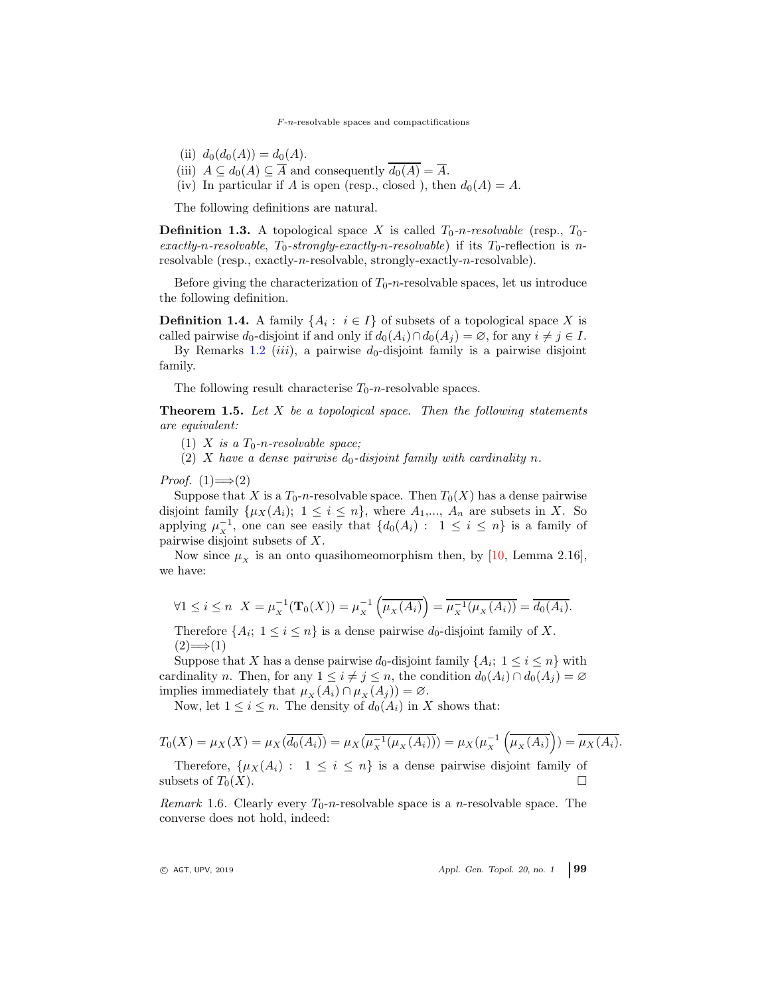$F$ -n-resolvable spaces and compactifications

- (ii)  $d_0(d_0(A)) = d_0(A)$ .
- (iii)  $A \subseteq d_0(A) \subseteq \overline{A}$  and consequently  $\overline{d_0(A)} = \overline{A}$ .
- (iv) In particular if A is open (resp., closed ), then  $d_0(A) = A$ .

The following definitions are natural.

**Definition 1.3.** A topological space X is called  $T_0$ -n-resolvable (resp.,  $T_0$ - $\vec{r}$  *exactly-n-resolvable*,  $T_0$ -strongly-exactly-n-resolvable) if its  $T_0$ -reflection is nresolvable (resp., exactly-n-resolvable, strongly-exactly-n-resolvable).

Before giving the characterization of  $T_0$ -n-resolvable spaces, let us introduce the following definition.

**Definition 1.4.** A family  $\{A_i: i \in I\}$  of subsets of a topological space X is called pairwise  $d_0$ -disjoint if and only if  $d_0(A_i) \cap d_0(A_i) = \emptyset$ , for any  $i \neq j \in I$ .

By Remarks [1.2](#page-1-0) *(iii)*, a pairwise  $d_0$ -disjoint family is a pairwise disjoint family.

The following result characterise  $T_0$ -n-resolvable spaces.

Theorem 1.5. *Let* X *be a topological space. Then the following statements are equivalent:*

(1) X is a  $T_0$ -n-resolvable space;

(2) X have a dense pairwise  $d_0$ -disjoint family with cardinality n.

*Proof.*  $(1) \implies (2)$ 

Suppose that X is a  $T_0$ -n-resolvable space. Then  $T_0(X)$  has a dense pairwise disjoint family  $\{\mu_X(A_i); 1 \leq i \leq n\}$ , where  $A_1, ..., A_n$  are subsets in X. So applying  $\mu_{\overline{x}}^{-1}$ , one can see easily that  $\{d_0(A_i): 1 \leq i \leq n\}$  is a family of pairwise disjoint subsets of X.

Now since  $\mu_x$  is an onto quasihomeomorphism then, by [\[10,](#page-11-4) Lemma 2.16], we have:

$$
\forall 1 \leq i \leq n \ \ X = \mu_X^{-1}(\mathbf{T}_0(X)) = \mu_X^{-1}\left(\overline{\mu_X(A_i)}\right) = \overline{\mu_X^{-1}(\mu_X(A_i))} = \overline{d_0(A_i)}.
$$

Therefore  $\{A_i; 1 \leq i \leq n\}$  is a dense pairwise  $d_0$ -disjoint family of X.  $(2) \Longrightarrow (1)$ 

Suppose that X has a dense pairwise  $d_0$ -disjoint family  $\{A_i; 1 \leq i \leq n\}$  with cardinality n. Then, for any  $1 \leq i \neq j \leq n$ , the condition  $d_0(A_i) \cap d_0(A_j) = \emptyset$ implies immediately that  $\mu_X(A_i) \cap \mu_X(A_j) = \varnothing$ .

Now, let  $1 \leq i \leq n$ . The density of  $d_0(A_i)$  in X shows that:

$$
T_0(X) = \mu_X(X) = \mu_X(\overline{d_0(A_i)}) = \mu_X(\overline{\mu_X^{-1}(\mu_X(A_i))}) = \mu_X(\mu_X^{-1}(\overline{\mu_X(A_i)}) = \overline{\mu_X(A_i)}.
$$

Therefore,  $\{\mu_X(A_i): 1 \leq i \leq n\}$  is a dense pairwise disjoint family of subsets of  $T_0(X)$ .

*Remark* 1.6. Clearly every  $T_0$ -n-resolvable space is a *n*-resolvable space. The converse does not hold, indeed:

 $Q$  AGT, UPV, 2019  $AP$  Appl. Gen. Topol. 20, no. 1 99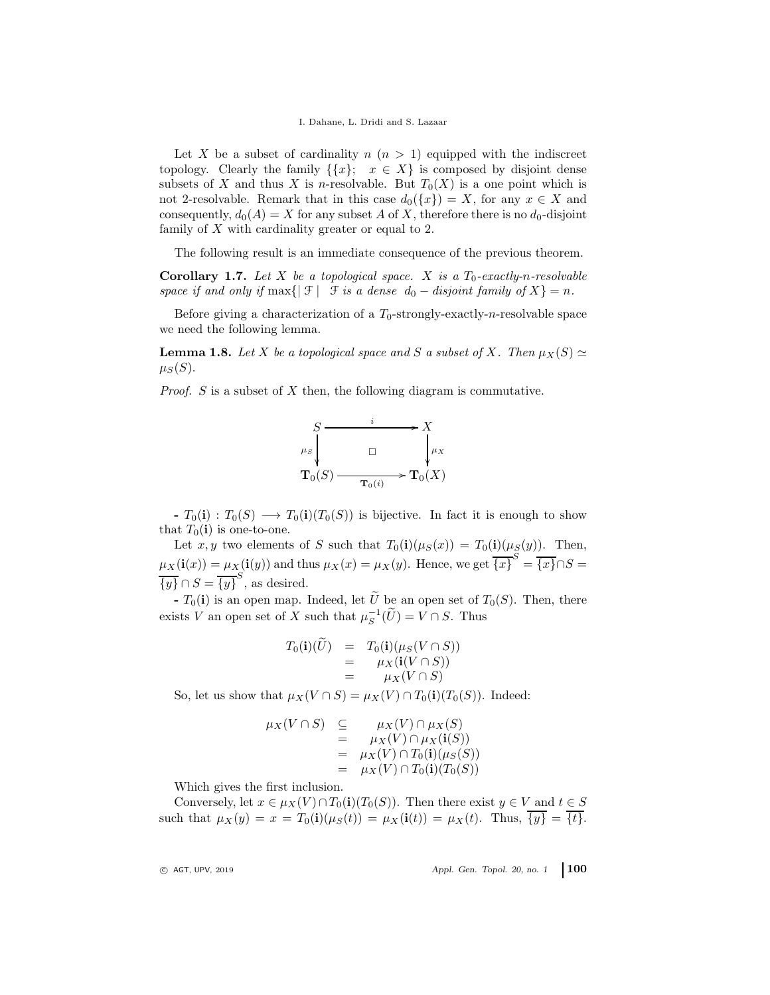Let X be a subset of cardinality  $n (n > 1)$  equipped with the indiscreet topology. Clearly the family  $\{\{x\}; x \in X\}$  is composed by disjoint dense subsets of X and thus X is n-resolvable. But  $T_0(X)$  is a one point which is not 2-resolvable. Remark that in this case  $d_0({x}) = X$ , for any  $x \in X$  and consequently,  $d_0(A) = X$  for any subset A of X, therefore there is no  $d_0$ -disjoint family of X with cardinality greater or equal to 2.

The following result is an immediate consequence of the previous theorem.

**Corollary 1.7.** Let  $X$  be a topological space.  $X$  is a  $T_0$ -exactly-n-resolvable *space if and only if*  $\max\{|\mathcal{F}| \mid \mathcal{F} \text{ is a dense } d_0 - \text{disjoint family of } X\} = n.$ 

Before giving a characterization of a  $T_0$ -strongly-exactly-n-resolvable space we need the following lemma.

<span id="page-3-0"></span>**Lemma 1.8.** *Let* X *be a topological space and* S *a subset of* X. Then  $\mu_X(S) \simeq$  $\mu_S(S)$ .

*Proof.* S is a subset of X then, the following diagram is commutative.



 $-T_0(i) : T_0(S) \longrightarrow T_0(i)(T_0(S))$  is bijective. In fact it is enough to show that  $T_0(i)$  is one-to-one.

Let x, y two elements of S such that  $T_0(i)(\mu_S(x)) = T_0(i)(\mu_S(y))$ . Then,  $\mu_X(i(x)) = \mu_X(i(y))$  and thus  $\mu_X(x) = \mu_X(y)$ . Hence, we get  $\overline{\{x\}}^S = \overline{\{x\}} \cap S =$  $\overline{\{y\}} \cap S = \overline{\{y\}}^S$ , as desired.

-  $T_0(i)$  is an open map. Indeed, let  $\tilde{U}$  be an open set of  $T_0(S)$ . Then, there exists V an open set of X such that  $\mu_S^{-1}(\widetilde{U}) = V \cap S$ . Thus

$$
T_0(\mathbf{i})(U) = T_0(\mathbf{i})(\mu_S(V \cap S))
$$
  
= 
$$
\mu_X(\mathbf{i}(V \cap S))
$$
  
= 
$$
\mu_X(V \cap S)
$$

So, let us show that  $\mu_X(V \cap S) = \mu_X(V) \cap T_0(i)(T_0(S))$ . Indeed:

$$
\mu_X(V \cap S) \subseteq \mu_X(V) \cap \mu_X(S)
$$
  
= 
$$
\mu_X(V) \cap \mu_X(\mathbf{i}(S))
$$
  
= 
$$
\mu_X(V) \cap T_0(\mathbf{i})(\mu_S(S))
$$
  
= 
$$
\mu_X(V) \cap T_0(\mathbf{i})(T_0(S))
$$

Which gives the first inclusion.

Conversely, let  $x \in \mu_X(V) \cap T_0(i)(T_0(S))$ . Then there exist  $y \in V$  and  $t \in S$ such that  $\mu_X(y) = x = T_0(i)(\mu_S(t)) = \mu_X(i(t)) = \mu_X(t)$ . Thus,  $\overline{\{y\}} = \overline{\{t\}}$ .

 $\circ$  AGT, UPV, 2019  $\circ$  Appl. Gen. Topol. 20, no. 1 100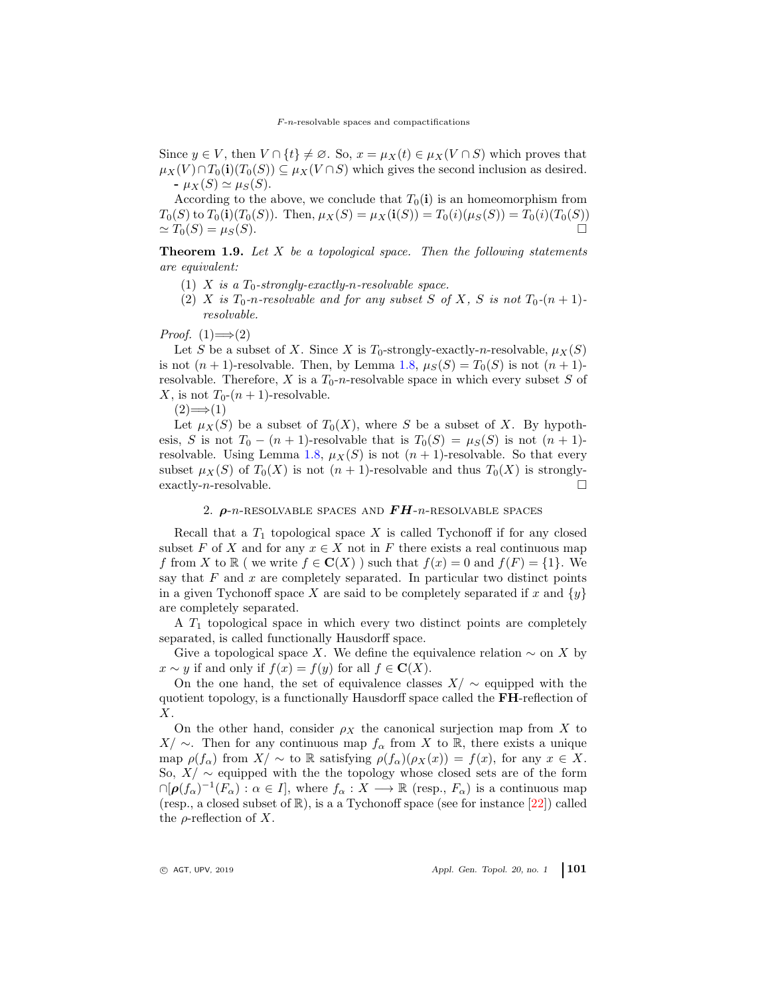Since  $y \in V$ , then  $V \cap \{t\} \neq \emptyset$ . So,  $x = \mu_X(t) \in \mu_X(V \cap S)$  which proves that  $\mu_X(V) \cap T_0(i)(T_0(S)) \subseteq \mu_X(V \cap S)$  which gives the second inclusion as desired.  $-\mu_X(S) \simeq \mu_S(S)$ .

According to the above, we conclude that  $T_0(i)$  is an homeomorphism from  $T_0(S)$  to  $T_0(i)(T_0(S))$ . Then,  $\mu_X(S) = \mu_X(i(S)) = T_0(i)(\mu_S(S)) = T_0(i)(T_0(S))$  $\simeq T_0(S) = \mu_S(S).$ 

<span id="page-4-0"></span>Theorem 1.9. *Let* X *be a topological space. Then the following statements are equivalent:*

- $(1)$  X *is a*  $T_0$ -strongly-exactly-n-resolvable space.
- (2) X *is*  $T_0$ -*n*-resolvable and for any subset S of X, S is not  $T_0$ - $(n + 1)$ *resolvable.*

*Proof.*  $(1) \implies (2)$ 

Let S be a subset of X. Since X is  $T_0$ -strongly-exactly-n-resolvable,  $\mu_X(S)$ is not  $(n + 1)$ -resolvable. Then, by Lemma [1.8,](#page-3-0)  $\mu_S(S) = T_0(S)$  is not  $(n + 1)$ resolvable. Therefore, X is a  $T_0$ -n-resolvable space in which every subset S of X, is not  $T_0$ - $(n+1)$ -resolvable.

 $(2) \Longrightarrow (1)$ 

Let  $\mu_X(S)$  be a subset of  $T_0(X)$ , where S be a subset of X. By hypothesis, S is not  $T_0 - (n + 1)$ -resolvable that is  $T_0(S) = \mu_S(S)$  is not  $(n + 1)$ -resolvable. Using Lemma [1.8,](#page-3-0)  $\mu_X(S)$  is not  $(n + 1)$ -resolvable. So that every subset  $\mu_X(S)$  of  $T_0(X)$  is not  $(n + 1)$ -resolvable and thus  $T_0(X)$  is stronglyexactly-*n*-resolvable.

### 2.  $\rho$ -n-RESOLVABLE SPACES AND  $FH$ -n-RESOLVABLE SPACES

Recall that a  $T_1$  topological space X is called Tychonoff if for any closed subset F of X and for any  $x \in X$  not in F there exists a real continuous map f from X to R ( we write  $f \in \mathbf{C}(X)$ ) such that  $f(x) = 0$  and  $f(F) = \{1\}$ . We say that  $F$  and  $x$  are completely separated. In particular two distinct points in a given Tychonoff space X are said to be completely separated if x and  $\{y\}$ are completely separated.

A  $T_1$  topological space in which every two distinct points are completely separated, is called functionally Hausdorff space.

Give a topological space X. We define the equivalence relation  $\sim$  on X by  $x \sim y$  if and only if  $f(x) = f(y)$  for all  $f \in \mathbf{C}(X)$ .

On the one hand, the set of equivalence classes  $X/\sim$  equipped with the quotient topology, is a functionally Hausdorff space called the FH-reflection of X.

On the other hand, consider  $\rho_X$  the canonical surjection map from X to X/  $\sim$ . Then for any continuous map  $f_\alpha$  from X to ℝ, there exists a unique map  $\rho(f_\alpha)$  from  $X/\sim$  to R satisfying  $\rho(f_\alpha)(\rho_X(x))=f(x)$ , for any  $x\in X$ . So,  $X/\sim$  equipped with the the topology whose closed sets are of the form  $\cap [\rho(f_\alpha)^{-1}(F_\alpha): \alpha \in I],$  where  $f_\alpha: X \longrightarrow \mathbb{R}$  (resp.,  $F_\alpha$ ) is a continuous map (resp., a closed subset of  $\mathbb{R}$ ), is a a Tychonoff space (see for instance  $[22]$ ) called the  $\rho$ -reflection of X.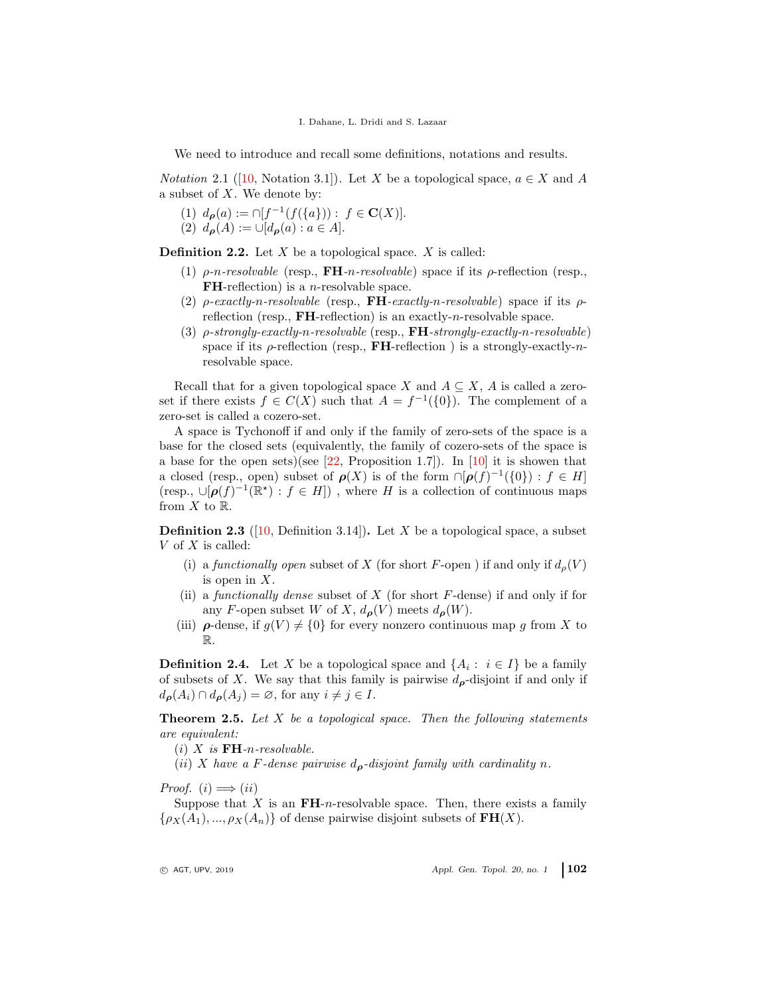We need to introduce and recall some definitions, notations and results.

*Notation* 2.1 ([\[10,](#page-11-4) Notation 3.1]). Let X be a topological space,  $a \in X$  and A a subset of  $X$ . We denote by:

(1)  $d_{\rho}(a) := \cap [f^{-1}(f(\{a\})) : f \in \mathbf{C}(X)].$ 

(2)  $d_{\rho}(A) := \cup [d_{\rho}(a) : a \in A].$ 

**Definition 2.2.** Let  $X$  be a topological space.  $X$  is called:

- (1)  $\rho$ -*n*-resolvable (resp., **FH**-*n*-resolvable) space if its  $\rho$ -reflection (resp., **FH**-reflection) is a *n*-resolvable space.
- (2) ρ*-exactly-*n*-resolvable* (resp., FH*-exactly-*n*-resolvable*) space if its ρreflection (resp.,  $FH$ -reflection) is an exactly-*n*-resolvable space.
- (3) ρ*-strongly-exactly-*n*-resolvable* (resp., FH*-strongly-exactly-*n*-resolvable*) space if its  $\rho$ -reflection (resp., **FH**-reflection ) is a strongly-exactly-nresolvable space.

Recall that for a given topological space X and  $A \subseteq X$ , A is called a zeroset if there exists  $f \in C(X)$  such that  $A = f^{-1}(\{0\})$ . The complement of a zero-set is called a cozero-set.

A space is Tychonoff if and only if the family of zero-sets of the space is a base for the closed sets (equivalently, the family of cozero-sets of the space is a base for the open sets)(see  $[22,$  Proposition 1.7]). In [\[10\]](#page-11-4) it is showen that a closed (resp., open) subset of  $\rho(X)$  is of the form  $\cap [\rho(f)^{-1}(\{0\}) : f \in H]$ (resp.,  $\cup [\rho(f)^{-1}(\mathbb{R}^*) : f \in H]$ ), where H is a collection of continuous maps from  $X$  to  $\mathbb{R}$ .

**Definition 2.3** ([\[10,](#page-11-4) Definition 3.14]). Let X be a topological space, a subset  $V$  of  $X$  is called:

- (i) a *functionally open* subset of X (for short F-open ) if and only if  $d<sub>o</sub>(V)$ is open in  $X$ .
- (ii) a *functionally dense* subset of X (for short F-dense) if and only if for any F-open subset W of X,  $d_{\rho}(V)$  meets  $d_{\rho}(W)$ .
- (iii)  $\rho$ -dense, if  $g(V) \neq \{0\}$  for every nonzero continuous map g from X to R.

**Definition 2.4.** Let X be a topological space and  $\{A_i : i \in I\}$  be a family of subsets of X. We say that this family is pairwise  $d_{\boldsymbol{\rho}}$ -disjoint if and only if  $d_{\boldsymbol{\rho}}(A_i) \cap d_{\boldsymbol{\rho}}(A_j) = \emptyset$ , for any  $i \neq j \in I$ .

<span id="page-5-0"></span>Theorem 2.5. *Let* X *be a topological space. Then the following statements are equivalent:*

(i) X *is* FH*-*n*-resolvable.*

(*ii*) X have a F-dense pairwise  $d_{\rho}$ -disjoint family with cardinality n.

*Proof.*  $(i) \implies (ii)$ 

Suppose that X is an  $\mathbf{FH}\text{-}n$ -resolvable space. Then, there exists a family  $\{\rho_X(A_1), ..., \rho_X(A_n)\}\$  of dense pairwise disjoint subsets of  $FH(X)$ .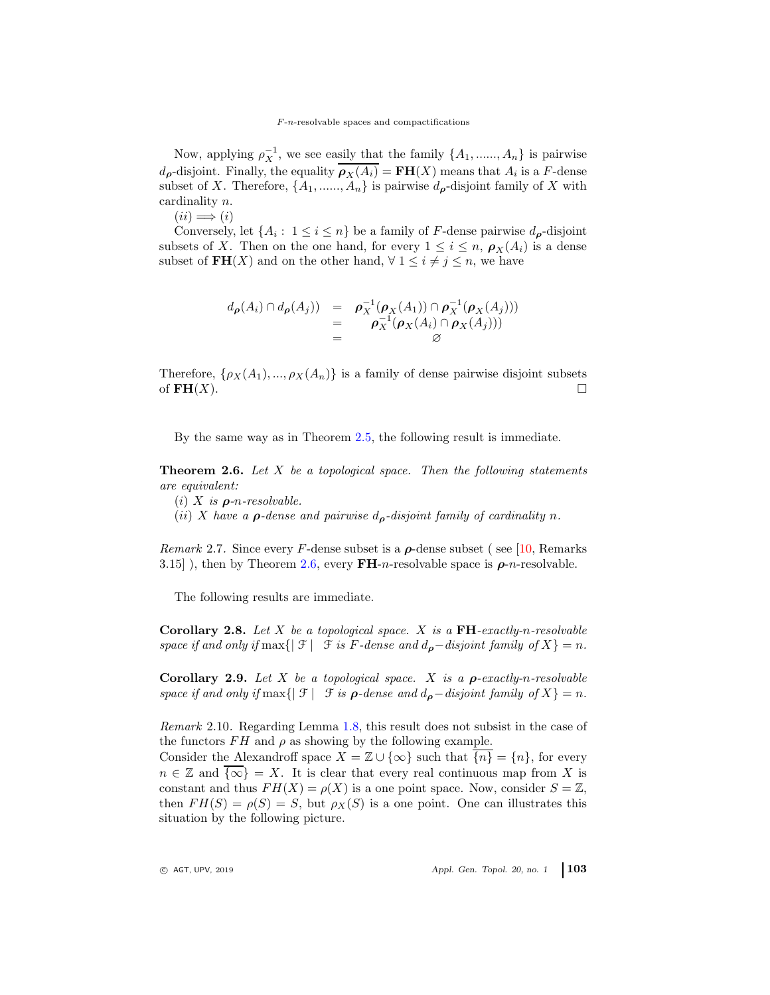Now, applying  $\rho_X^{-1}$ , we see easily that the family  $\{A_1, \ldots, A_n\}$  is pairwise  $d_{\boldsymbol{\rho}}$ -disjoint. Finally, the equality  $\rho_X(A_i) = \mathbf{FH}(X)$  means that  $A_i$  is a F-dense subset of X. Therefore,  $\{A_1, \ldots, A_n\}$  is pairwise  $d_{\rho}$ -disjoint family of X with cardinality n.

 $(ii) \Longrightarrow (i)$ 

Conversely, let  $\{A_i: 1 \le i \le n\}$  be a family of F-dense pairwise  $d_{\rho}$ -disjoint subsets of X. Then on the one hand, for every  $1 \leq i \leq n$ ,  $\rho_X(A_i)$  is a dense subset of  $\text{FH}(X)$  and on the other hand,  $\forall 1 \leq i \neq j \leq n$ , we have

$$
d_{\boldsymbol{\rho}}(A_i) \cap d_{\boldsymbol{\rho}}(A_j)) = \boldsymbol{\rho}_X^{-1}(\boldsymbol{\rho}_X(A_1)) \cap \boldsymbol{\rho}_X^{-1}(\boldsymbol{\rho}_X(A_j)))
$$
  
= 
$$
\boldsymbol{\rho}_X^{-1}(\boldsymbol{\rho}_X(A_i) \cap \boldsymbol{\rho}_X(A_j)))
$$
  
= 
$$
\emptyset
$$

Therefore,  $\{\rho_X(A_1), ..., \rho_X(A_n)\}\$ is a family of dense pairwise disjoint subsets of  $\mathbf{FH}(X)$ .

By the same way as in Theorem [2.5,](#page-5-0) the following result is immediate.

<span id="page-6-0"></span>Theorem 2.6. *Let* X *be a topological space. Then the following statements are equivalent:*

- (i) X *is* ρ*-*n*-resolvable.*
- (*ii*) X have a  $\rho$ -dense and pairwise  $d_{\rho}$ -disjoint family of cardinality n.

*Remark* 2.7. Since every F-dense subset is a  $\rho$ -dense subset (see [\[10,](#page-11-4) Remarks 3.15] ), then by Theorem [2.6,](#page-6-0) every  $\mathbf{FH}$ -*n*-resolvable space is  $\rho$ -*n*-resolvable.

The following results are immediate.

Corollary 2.8. *Let* X *be a topological space.* X *is a* FH*-exactly-*n*-resolvable space if and only if*  $\max\{|\mathcal{F}| \mid \mathcal{F} \text{ is } F\text{-dense and } d_{\boldsymbol{\rho}}\text{-disjoint family of } X\} = n.$ 

Corollary 2.9. *Let* X *be a topological space.* X *is a* ρ*-exactly-*n*-resolvable space if and only if*  $\max\{|\mathcal{F}| \mathcal{F} \text{ is } \rho\text{-dense and } d_{\rho}-disjoint family of X\} = n.$ 

<span id="page-6-1"></span>*Remark* 2.10*.* Regarding Lemma [1.8,](#page-3-0) this result does not subsist in the case of the functors  $FH$  and  $\rho$  as showing by the following example.

Consider the Alexandroff space  $X = \mathbb{Z} \cup \{\infty\}$  such that  $\overline{\{n\}} = \{n\}$ , for every  $n \in \mathbb{Z}$  and  $\overline{\{\infty\}} = X$ . It is clear that every real continuous map from X is constant and thus  $FH(X) = \rho(X)$  is a one point space. Now, consider  $S = \mathbb{Z}$ , then  $FH(S) = \rho(S) = S$ , but  $\rho_X(S)$  is a one point. One can illustrates this situation by the following picture.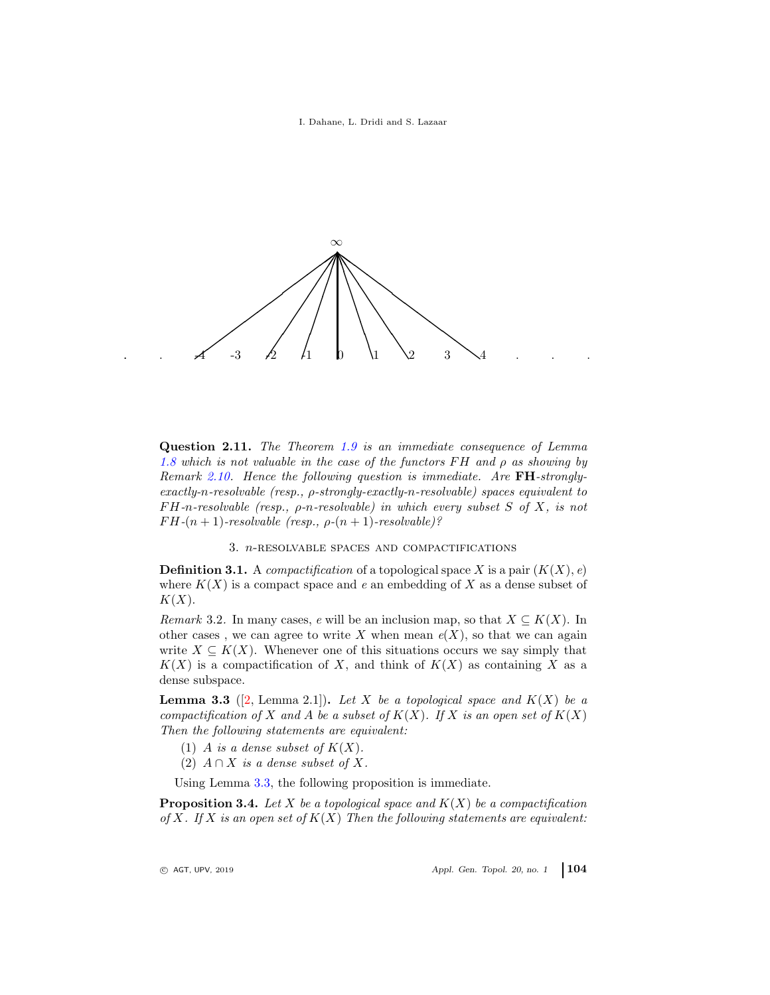I. Dahane, L. Dridi and S. Lazaar



Question 2.11. *The Theorem [1.9](#page-4-0) is an immediate consequence of Lemma [1.8](#page-3-0) which is not valuable in the case of the functors* F H *and* ρ *as showing by Remark [2.10.](#page-6-1) Hence the following question is immediate. Are* FH*-stronglyexactly-*n*-resolvable (resp.,* ρ*-strongly-exactly-*n*-resolvable) spaces equivalent to* F H*-*n*-resolvable (resp.,* ρ*-*n*-resolvable) in which every subset* S *of* X*, is not*  $FH-(n+1)$ -resolvable (resp.,  $\rho-(n+1)$ -resolvable)?

3. n-resolvable spaces and compactifications

**Definition 3.1.** A *compactification* of a topological space X is a pair  $(K(X), e)$ where  $K(X)$  is a compact space and  $e$  an embedding of X as a dense subset of  $K(X)$ .

*Remark* 3.2. In many cases, *e* will be an inclusion map, so that  $X \subseteq K(X)$ . In other cases, we can agree to write X when mean  $e(X)$ , so that we can again write  $X \subseteq K(X)$ . Whenever one of this situations occurs we say simply that  $K(X)$  is a compactification of X, and think of  $K(X)$  as containing X as a dense subspace.

<span id="page-7-0"></span>**Lemma 3.3** ([\[2,](#page-10-1) Lemma 2.1]). Let X be a topological space and  $K(X)$  be a *compactification of* X and A be a subset of  $K(X)$ *. If* X is an open set of  $K(X)$ *Then the following statements are equivalent:*

- (1) A *is a dense subset of*  $K(X)$ .
- (2)  $A \cap X$  *is a dense subset of* X.

Using Lemma [3.3,](#page-7-0) the following proposition is immediate.

<span id="page-7-1"></span>Proposition 3.4. *Let* X *be a topological space and* K(X) *be a compactification of* X*. If* X *is an open set of* K(X) *Then the following statements are equivalent:*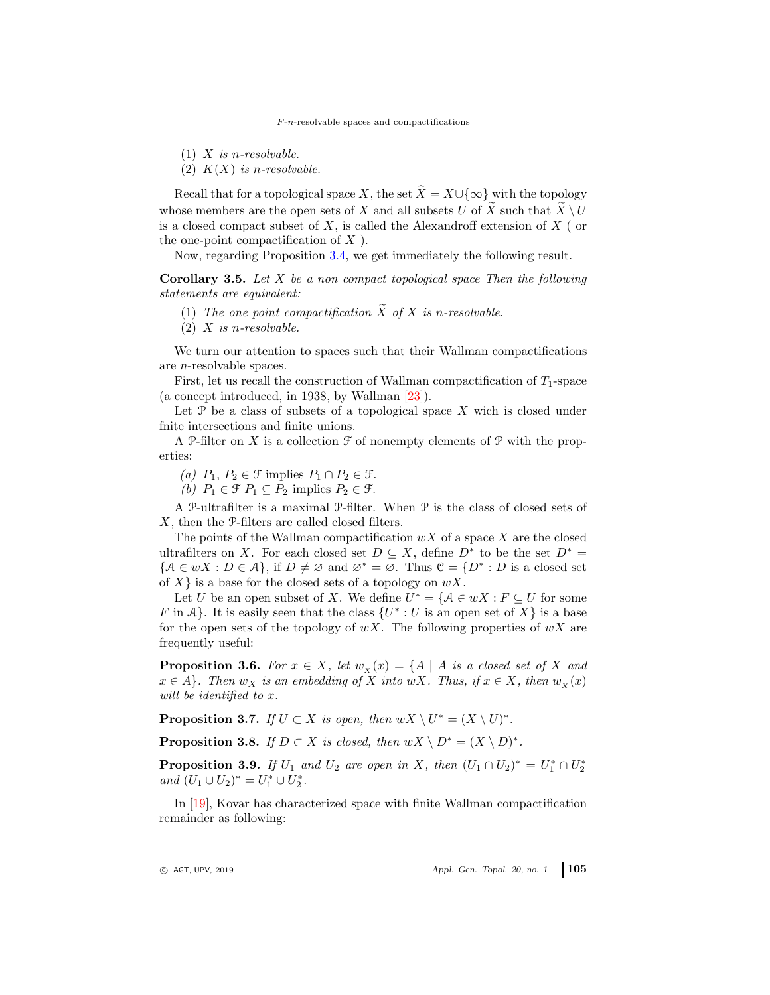$F$ -n-resolvable spaces and compactifications

- (1) X *is* n*-resolvable.*
- (2)  $K(X)$  *is n-resolvable.*

Recall that for a topological space X, the set  $\widetilde{X} = X \cup \{\infty\}$  with the topology whose members are the open sets of X and all subsets U of  $\widetilde{X}$  such that  $\widetilde{X} \setminus U$ is a closed compact subset of  $X$ , is called the Alexandroff extension of  $X$  (or the one-point compactification of  $X$ ).

Now, regarding Proposition [3.4,](#page-7-1) we get immediately the following result.

Corollary 3.5. *Let* X *be a non compact topological space Then the following statements are equivalent:*

- (1) The one point compactification  $\widetilde{X}$  of X is n-resolvable.
- (2) X *is* n*-resolvable.*

We turn our attention to spaces such that their Wallman compactifications are n-resolvable spaces.

First, let us recall the construction of Wallman compactification of  $T_1$ -space (a concept introduced, in 1938, by Wallman [\[23\]](#page-11-12)).

Let  $\mathcal P$  be a class of subsets of a topological space X wich is closed under fnite intersections and finite unions.

A P-filter on X is a collection  $\mathcal F$  of nonempty elements of P with the properties:

*(a)*  $P_1, P_2 \in \mathcal{F}$  implies  $P_1 \cap P_2 \in \mathcal{F}$ .

*(b)*  $P_1 \in \mathcal{F}$   $P_1 \subseteq P_2$  implies  $P_2 \in \mathcal{F}$ .

A P-ultrafilter is a maximal P-filter. When P is the class of closed sets of X, then the P-filters are called closed filters.

The points of the Wallman compactification  $wX$  of a space X are the closed ultrafilters on X. For each closed set  $D \subseteq X$ , define  $D^*$  to be the set  $D^* =$  ${A \in wX : D \in \mathcal{A}}$ , if  $D \neq \emptyset$  and  $\emptyset^* = \emptyset$ . Thus  $\mathcal{C} = \{D^* : D \text{ is a closed set }\}$ of  $X\}$  is a base for the closed sets of a topology on  $wX$ .

Let U be an open subset of X. We define  $U^* = \{A \in wX : F \subseteq U \text{ for some }$ F in A}. It is easily seen that the class  $\{U^*: U$  is an open set of X} is a base for the open sets of the topology of  $wX$ . The following properties of  $wX$  are frequently useful:

**Proposition 3.6.** *For*  $x \in X$ *, let*  $w_x(x) = \{A \mid A \text{ is a closed set of } X \text{ and }$  $x \in A$ *}. Then*  $w_X$  *is an embedding of* X *into*  $wX$ *. Thus, if*  $x \in X$ *, then*  $w_X(x)$ *will be identified to* x*.*

**Proposition 3.7.** *If*  $U \subset X$  *is open, then*  $wX \setminus U^* = (X \setminus U)^*$ *.* 

**Proposition 3.8.** *If*  $D \subset X$  *is closed, then*  $wX \setminus D^* = (X \setminus D)^*$ *.* 

**Proposition 3.9.** *If*  $U_1$  *and*  $U_2$  *are open in* X, *then*  $(U_1 \cap U_2)^* = U_1^* \cap U_2^*$  $and \ (U_1 \cup U_2)^* = U_1^* \cup U_2^*.$ 

In [\[19\]](#page-11-13), Kovar has characterized space with finite Wallman compactification remainder as following: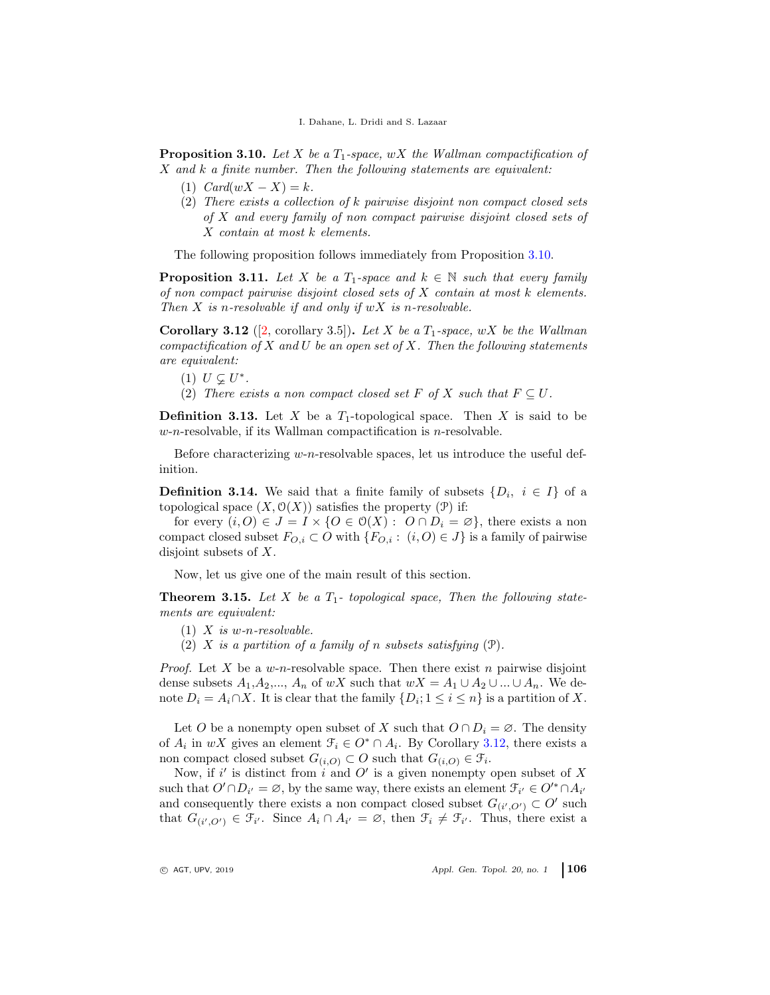<span id="page-9-0"></span>Proposition 3.10. Let X be a  $T_1$ -space, wX the Wallman compactification of X *and* k *a finite number. Then the following statements are equivalent:*

- (1)  $Card(wX X) = k.$
- (2) *There exists a collection of* k *pairwise disjoint non compact closed sets of* X *and every family of non compact pairwise disjoint closed sets of* X *contain at most* k *elements.*

The following proposition follows immediately from Proposition [3.10.](#page-9-0)

**Proposition 3.11.** Let X be a  $T_1$ -space and  $k \in \mathbb{N}$  such that every family *of non compact pairwise disjoint closed sets of* X *contain at most* k *elements. Then* X *is* n*-resolvable if and only if* wX *is* n*-resolvable.*

<span id="page-9-1"></span>**Corollary 3.12** ([\[2,](#page-10-1) corollary 3.5]). Let X be a  $T_1$ -space, wX be the Wallman *compactification of* X *and* U *be an open set of* X*. Then the following statements are equivalent:*

- (1)  $U \subsetneq U^*$ .
- (2) *There exists a non compact closed set* F *of* X *such that*  $F \subseteq U$ .

**Definition 3.13.** Let X be a  $T_1$ -topological space. Then X is said to be  $w$ -n-resolvable, if its Wallman compactification is *n*-resolvable.

Before characterizing  $w-n$ -resolvable spaces, let us introduce the useful definition.

**Definition 3.14.** We said that a finite family of subsets  $\{D_i, i \in I\}$  of a topological space  $(X, \mathcal{O}(X))$  satisfies the property  $(\mathcal{P})$  if:

for every  $(i, 0) \in J = I \times \{0 \in \mathcal{O}(X) : O \cap D_i = \emptyset\}$ , there exists a non compact closed subset  $F_{O,i} \subset O$  with  $\{F_{O,i} : (i, O) \in J\}$  is a family of pairwise disjoint subsets of X.

Now, let us give one of the main result of this section.

<span id="page-9-2"></span>**Theorem 3.15.** Let X be a  $T_1$ - topological space, Then the following state*ments are equivalent:*

- (1) X *is* w*-*n*-resolvable.*
- (2) X *is a partition of a family of* n *subsets satisfying* (P)*.*

*Proof.* Let X be a w-n-resolvable space. Then there exist n pairwise disjoint dense subsets  $A_1, A_2, ..., A_n$  of wX such that  $wX = A_1 \cup A_2 \cup ... \cup A_n$ . We denote  $D_i = A_i \cap X$ . It is clear that the family  $\{D_i; 1 \le i \le n\}$  is a partition of X.

Let O be a nonempty open subset of X such that  $O \cap D_i = \emptyset$ . The density of  $A_i$  in wX gives an element  $\mathcal{F}_i \in O^* \cap A_i$ . By Corollary [3.12,](#page-9-1) there exists a non compact closed subset  $G_{(i,O)} \subset O$  such that  $G_{(i,O)} \in \mathcal{F}_i$ .

Now, if i' is distinct from i and O' is a given nonempty open subset of X such that  $O' \cap D_{i'} = \emptyset$ , by the same way, there exists an element  $\mathcal{F}_{i'} \in O'^* \cap A_{i'}$ and consequently there exists a non compact closed subset  $G_{(i',O')} \subset O'$  such that  $G_{(i',0')} \in \mathfrak{F}_{i'}$ . Since  $A_i \cap A_{i'} = \emptyset$ , then  $\mathfrak{F}_i \neq \mathfrak{F}_{i'}$ . Thus, there exist a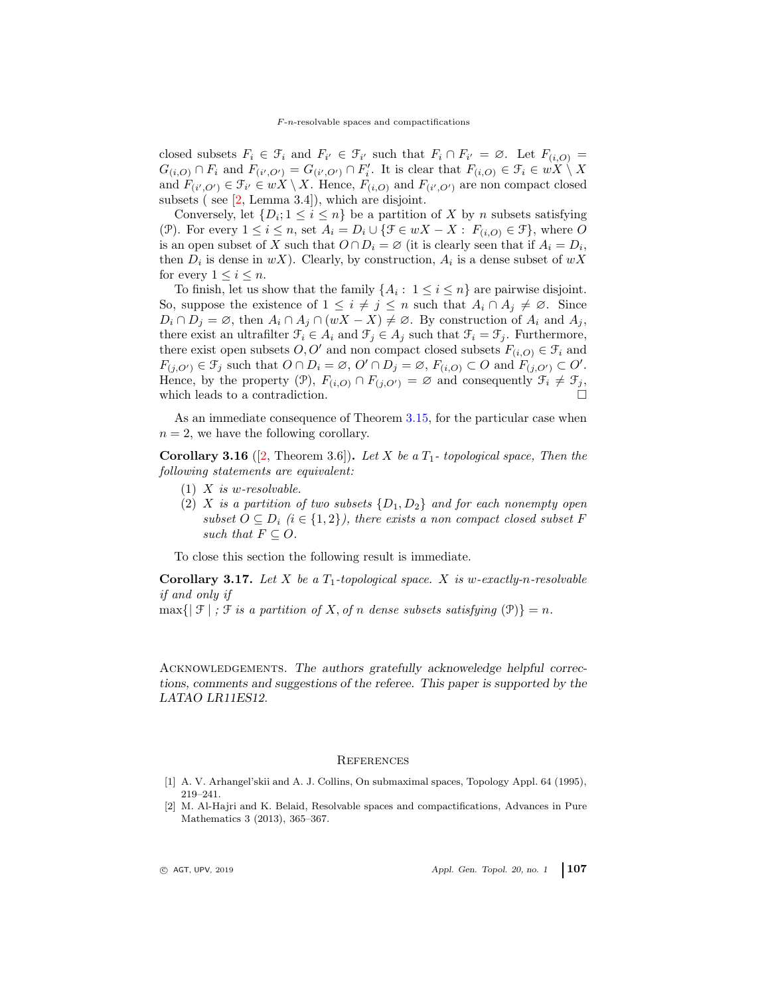closed subsets  $F_i \in \mathcal{F}_i$  and  $F_{i'} \in \mathcal{F}_{i'}$  such that  $F_i \cap F_{i'} = \emptyset$ . Let  $F_{(i,O)} =$  $G_{(i,O)} \cap F_i$  and  $F_{(i',O')} = G_{(i',O')} \cap F_i'$ . It is clear that  $F_{(i,O)} \in \mathcal{F}_i \in wX \setminus X$ and  $F_{(i',O')} \in \mathcal{F}_{i'} \in wX \setminus X$ . Hence,  $F_{(i,O)}$  and  $F_{(i',O')}$  are non compact closed subsets ( see  $[2, \text{Lemma } 3.4]$ ), which are disjoint.

Conversely, let  $\{D_i; 1 \leq i \leq n\}$  be a partition of X by n subsets satisfying (P). For every  $1 \leq i \leq n$ , set  $A_i = D_i \cup {\mathcal{F} \in wX - X : F_{(i,O)} \in \mathcal{F}}$ , where O is an open subset of X such that  $O \cap D_i = \emptyset$  (it is clearly seen that if  $A_i = D_i$ , then  $D_i$  is dense in  $wX$ ). Clearly, by construction,  $A_i$  is a dense subset of  $wX$ for every  $1 \leq i \leq n$ .

To finish, let us show that the family  $\{A_i: 1 \leq i \leq n\}$  are pairwise disjoint. So, suppose the existence of  $1 \leq i \neq j \leq n$  such that  $A_i \cap A_j \neq \emptyset$ . Since  $D_i \cap D_j = \emptyset$ , then  $A_i \cap A_j \cap (wX - X) \neq \emptyset$ . By construction of  $A_i$  and  $A_j$ , there exist an ultrafilter  $\mathcal{F}_i \in A_i$  and  $\mathcal{F}_j \in A_j$  such that  $\mathcal{F}_i = \mathcal{F}_j$ . Furthermore, there exist open subsets  $O, O'$  and non compact closed subsets  $F_{(i,O)} \in \mathcal{F}_i$  and  $F_{(j,O')} \in \mathcal{F}_j$  such that  $O \cap D_i = \emptyset$ ,  $O' \cap D_j = \emptyset$ ,  $F_{(i,O)} \subset O$  and  $F_{(j,O')} \subset O'$ . Hence, by the property (P),  $F_{(i,O)} \cap F_{(j,O')} = \emptyset$  and consequently  $\mathcal{F}_i \neq \mathcal{F}_j$ , which leads to a contradiction.

As an immediate consequence of Theorem [3.15,](#page-9-2) for the particular case when  $n = 2$ , we have the following corollary.

**Corollary 3.16** ([\[2,](#page-10-1) Theorem 3.6]). Let X be a  $T_1$ -topological space, Then the *following statements are equivalent:*

- (1) X *is* w*-resolvable.*
- (2) X *is a partition of two subsets*  $\{D_1, D_2\}$  *and for each nonempty open subset*  $O \subseteq D_i$  ( $i \in \{1,2\}$ ), there exists a non compact closed subset F *such that*  $F \subset O$ .

To close this section the following result is immediate.

Corollary 3.17. *Let* X *be a* T1*-topological space.* X *is* w*-exactly-*n*-resolvable if and only if*

 $\max\{|\mathcal{F}| : \mathcal{F}$  *is a partition of X, of n dense subsets satisfying*  $(\mathcal{P})\} = n$ .

ACKNOWLEDGEMENTS. The authors gratefully acknoweledge helpful corrections, comments and suggestions of the referee. This paper is supported by the LATAO LR11ES12.

#### <span id="page-10-0"></span>**REFERENCES**

- [1] A. V. Arhangel'skii and A. J. Collins, On submaximal spaces, Topology Appl. 64 (1995), 219–241.
- <span id="page-10-1"></span>[2] M. Al-Hajri and K. Belaid, Resolvable spaces and compactifications, Advances in Pure Mathematics 3 (2013), 365–367.

 $\circ$  AGT, UPV, 2019  $\circ$  Appl. Gen. Topol. 20, no. 1 107